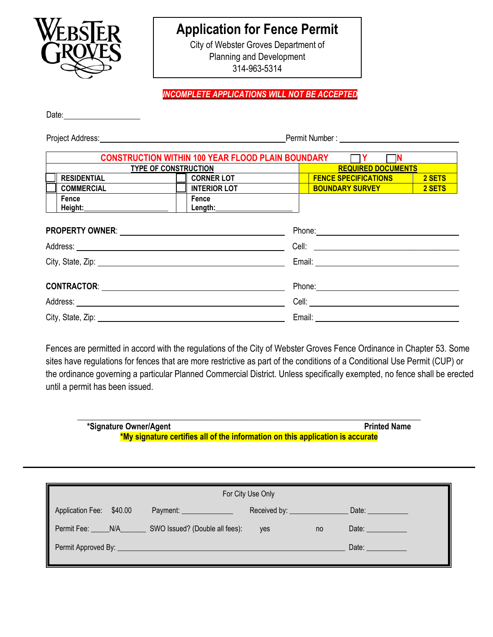

## **Application for Fence Permit**

City of Webster Groves Department of Planning and Development 314-963-5314

*INCOMPLETE APPLICATIONS WILL NOT BE ACCEPTED*

Date:

Project Address: No. 2008. The Permit Number : Number : Number : Number : Number : Number : Number : Number : Number : Number : Number : Number : Number : Number : Number : Number : Number : Number : Number : Number : Numb

| <b>CONSTRUCTION WITHIN 100 YEAR FLOOD PLAIN BOUNDARY</b><br>m |                    |                     |  |                             |        |  |
|---------------------------------------------------------------|--------------------|---------------------|--|-----------------------------|--------|--|
| <b>TYPE OF CONSTRUCTION</b>                                   |                    |                     |  | <b>REQUIRED DOCUMENTS</b>   |        |  |
|                                                               | <b>RESIDENTIAL</b> | <b>CORNER LOT</b>   |  | <b>FENCE SPECIFICATIONS</b> | 2 SETS |  |
|                                                               | <b>COMMERCIAL</b>  | <b>INTERIOR LOT</b> |  | <b>BOUNDARY SURVEY</b>      | 2 SETS |  |
|                                                               | Fence              | Fence               |  |                             |        |  |
|                                                               | Height:            | Length:             |  |                             |        |  |
|                                                               |                    |                     |  |                             |        |  |

| Address: Note and the contract of the contract of the contract of the contract of the contract of the contract of the contract of the contract of the contract of the contract of the contract of the contract of the contract |  |
|--------------------------------------------------------------------------------------------------------------------------------------------------------------------------------------------------------------------------------|--|
|                                                                                                                                                                                                                                |  |
|                                                                                                                                                                                                                                |  |
|                                                                                                                                                                                                                                |  |
| City, State, Zip: 2008. Experience of the State of Table 2008. The State of Table 2008. The State of Table 200                                                                                                                 |  |

Fences are permitted in accord with the regulations of the City of Webster Groves Fence Ordinance in Chapter 53. Some sites have regulations for fences that are more restrictive as part of the conditions of a Conditional Use Permit (CUP) or the ordinance governing a particular Planned Commercial District. Unless specifically exempted, no fence shall be erected until a permit has been issued.

**\_\_\_\_\_\_\_\_\_\_\_\_\_\_\_\_\_\_\_\_\_\_\_\_\_\_\_\_\_\_\_\_\_\_\_\_\_\_\_\_\_\_\_\_\_\_\_\_\_\_\_\_\_\_\_\_\_\_\_\_\_\_\_\_\_\_\_\_\_\_\_\_\_\_\_\_\_\_\_\_\_\_\_\_\_ \*Signature Owner/Agent Printed Name \*My signature certifies all of the information on this application is accurate**

| Received by: ______________<br>Date: $\qquad \qquad$ |
|------------------------------------------------------|
|                                                      |
| Date: <b>Date:</b><br><b>ves</b><br>no               |
| Date:                                                |
|                                                      |